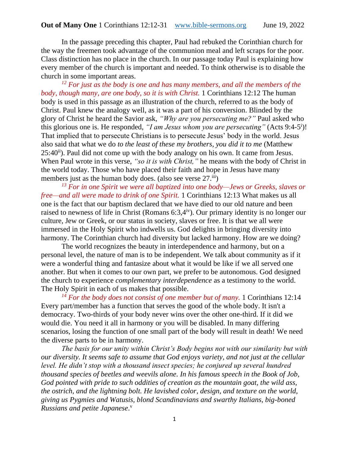In the passage preceding this chapter, Paul had rebuked the Corinthian church for the way the freemen took advantage of the communion meal and left scraps for the poor. Class distinction has no place in the church. In our passage today Paul is explaining how every member of the church is important and needed. To think otherwise is to disable the church in some important areas.

*<sup>12</sup> For just as the body is one and has many members, and all the members of the body, though many, are one body, so it is with Christ.* 1 Corinthians 12:12 The human body is used in this passage as an illustration of the church, referred to as the body of Christ. Paul knew the analogy well, as it was a part of his conversion. Blinded by the glory of Christ he heard the Savior ask, *"Why are you persecuting me?"* Paul asked who this glorious one is. He responded, "I am Jesus whom you are persecuting" (Acts 9:4-5<sup>i</sup>)! That implied that to persecute Christians is to persecute Jesus' body in the world. Jesus also said that what we do *to the least of these my brothers, you did it to me* (Matthew  $25:40<sup>ii</sup>$ ). Paul did not come up with the body analogy on his own. It came from Jesus. When Paul wrote in this verse, *"so it is with Christ,"* he means with the body of Christ in the world today. Those who have placed their faith and hope in Jesus have many members just as the human body does. (also see verse  $27.^{iii}$ )

*<sup>13</sup> For in one Spirit we were all baptized into one body—Jews or Greeks, slaves or free—and all were made to drink of one Spirit.* 1 Corinthians 12:13 What makes us all one is the fact that our baptism declared that we have died to our old nature and been raised to newness of life in Christ (Romans  $6:3,4<sup>iv</sup>$ ). Our primary identity is no longer our culture, Jew or Greek, or our status in society, slaves or free. It is that we all were immersed in the Holy Spirit who indwells us. God delights in bringing diversity into harmony. The Corinthian church had diversity but lacked harmony. How are we doing?

The world recognizes the beauty in interdependence and harmony, but on a personal level, the nature of man is to be independent. We talk about community as if it were a wonderful thing and fantasize about what it would be like if we all served one another. But when it comes to our own part, we prefer to be autonomous. God designed the church to experience *complementary interdependence* as a testimony to the world. The Holy Spirit in each of us makes that possible.

*<sup>14</sup> For the body does not consist of one member but of many.* 1 Corinthians 12:14 Every part/member has a function that serves the good of the whole body. It isn't a democracy. Two-thirds of your body never wins over the other one-third. If it did we would die. You need it all in harmony or you will be disabled. In many differing scenarios, losing the function of one small part of the body will result in death! We need the diverse parts to be in harmony.

*The basis for our unity within Christ's Body begins not with our similarity but with our diversity. It seems safe to assume that God enjoys variety, and not just at the cellular level. He didn't stop with a thousand insect species; he conjured up several hundred thousand species of beetles and weevils alone. In his famous speech in the Book of Job, God pointed with pride to such oddities of creation as the mountain goat, the wild ass, the ostrich, and the lightning bolt. He lavished color, design, and texture on the world, giving us Pygmies and Watusis, blond Scandinavians and swarthy Italians, big-boned Russians and petite Japanese*. v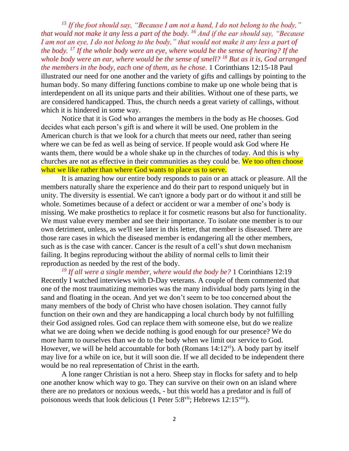*<sup>15</sup> If the foot should say, "Because I am not a hand, I do not belong to the body," that would not make it any less a part of the body. <sup>16</sup> And if the ear should say, "Because I am not an eye, I do not belong to the body," that would not make it any less a part of the body. <sup>17</sup> If the whole body were an eye, where would be the sense of hearing? If the whole body were an ear, where would be the sense of smell? <sup>18</sup> But as it is, God arranged the members in the body, each one of them, as he chose.* 1 Corinthians 12:15-18 Paul illustrated our need for one another and the variety of gifts and callings by pointing to the human body. So many differing functions combine to make up one whole being that is interdependent on all its unique parts and their abilities. Without one of these parts, we are considered handicapped. Thus, the church needs a great variety of callings, without which it is hindered in some way.

Notice that it is God who arranges the members in the body as He chooses. God decides what each person's gift is and where it will be used. One problem in the American church is that we look for a church that meets our need, rather than seeing where we can be fed as well as being of service. If people would ask God where He wants them, there would be a whole shake up in the churches of today. And this is why churches are not as effective in their communities as they could be. We too often choose what we like rather than where God wants to place us to serve.

It is amazing how our entire body responds to pain or an attack or pleasure. All the members naturally share the experience and do their part to respond uniquely but in unity. The diversity is essential. We can't ignore a body part or do without it and still be whole. Sometimes because of a defect or accident or war a member of one's body is missing. We make prosthetics to replace it for cosmetic reasons but also for functionality. We must value every member and see their importance. To isolate one member is to our own detriment, unless, as we'll see later in this letter, that member is diseased. There are those rare cases in which the diseased member is endangering all the other members, such as is the case with cancer. Cancer is the result of a cell's shut down mechanism failing. It begins reproducing without the ability of normal cells to limit their reproduction as needed by the rest of the body.

*<sup>19</sup> If all were a single member, where would the body be?* 1 Corinthians 12:19 Recently I watched interviews with D-Day veterans. A couple of them commented that one of the most traumatizing memories was the many individual body parts lying in the sand and floating in the ocean. And yet we don't seem to be too concerned about the many members of the body of Christ who have chosen isolation. They cannot fully function on their own and they are handicapping a local church body by not fulfilling their God assigned roles. God can replace them with someone else, but do we realize what we are doing when we decide nothing is good enough for our presence? We do more harm to ourselves than we do to the body when we limit our service to God. However, we will be held accountable for both (Romans  $14:12^{vi}$ ). A body part by itself may live for a while on ice, but it will soon die. If we all decided to be independent there would be no real representation of Christ in the earth.

A lone ranger Christian is not a hero. Sheep stay in flocks for safety and to help one another know which way to go. They can survive on their own on an island where there are no predators or noxious weeds, - but this world has a predator and is full of poisonous weeds that look delicious (1 Peter 5:8vii; Hebrews 12:15viii).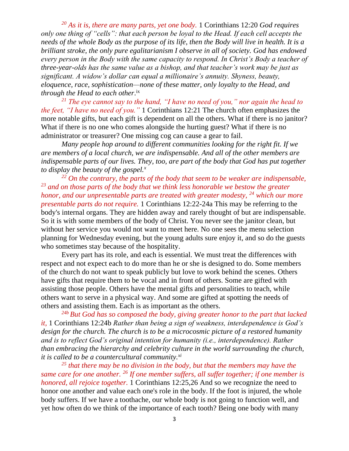*<sup>20</sup> As it is, there are many parts, yet one body.* 1 Corinthians 12:20 *God requires only one thing of "cells": that each person be loyal to the Head. If each cell accepts the needs of the whole Body as the purpose of its life, then the Body will live in health. It is a brilliant stroke, the only pure egalitarianism I observe in all of society. God has endowed every person in the Body with the same capacity to respond. In Christ's Body a teacher of three-year-olds has the same value as a bishop, and that teacher's work may be just as significant. A widow's dollar can equal a millionaire's annuity. Shyness, beauty, eloquence, race, sophistication—none of these matter, only loyalty to the Head, and through the Head to each other*. ix

*<sup>21</sup> The eye cannot say to the hand, "I have no need of you," nor again the head to the feet, "I have no need of you."* 1 Corinthians 12:21 The church often emphasizes the more notable gifts, but each gift is dependent on all the others. What if there is no janitor? What if there is no one who comes alongside the hurting guest? What if there is no administrator or treasurer? One missing cog can cause a gear to fail.

*Many people hop around to different communities looking for the right fit. If we are members of a local church, we are indispensable. And all of the other members are indispensable parts of our lives. They, too, are part of the body that God has put together to display the beauty of the gospel.<sup>x</sup>*

*<sup>22</sup> On the contrary, the parts of the body that seem to be weaker are indispensable, <sup>23</sup> and on those parts of the body that we think less honorable we bestow the greater honor, and our unpresentable parts are treated with greater modesty, <sup>24</sup> which our more presentable parts do not require.* 1 Corinthians 12:22-24a This may be referring to the body's internal organs. They are hidden away and rarely thought of but are indispensable. So it is with some members of the body of Christ. You never see the janitor clean, but without her service you would not want to meet here. No one sees the menu selection planning for Wednesday evening, but the young adults sure enjoy it, and so do the guests who sometimes stay because of the hospitality.

Every part has its role, and each is essential. We must treat the differences with respect and not expect each to do more than he or she is designed to do. Some members of the church do not want to speak publicly but love to work behind the scenes. Others have gifts that require them to be vocal and in front of others. Some are gifted with assisting those people. Others have the mental gifts and personalities to teach, while others want to serve in a physical way. And some are gifted at spotting the needs of others and assisting them. Each is as important as the others.

*24b But God has so composed the body, giving greater honor to the part that lacked it,* 1 Corinthians 12:24b *Rather than being a sign of weakness, interdependence is God's design for the church. The church is to be a microcosmic picture of a restored humanity and is to reflect God's original intention for humanity (i.e., interdependence). Rather than embracing the hierarchy and celebrity culture in the world surrounding the church, it is called to be a countercultural community.xi*

*<sup>25</sup> that there may be no division in the body, but that the members may have the same care for one another. <sup>26</sup> If one member suffers, all suffer together; if one member is honored, all rejoice together.* 1 Corinthians 12:25,26 And so we recognize the need to honor one another and value each one's role in the body. If the foot is injured, the whole body suffers. If we have a toothache, our whole body is not going to function well, and yet how often do we think of the importance of each tooth? Being one body with many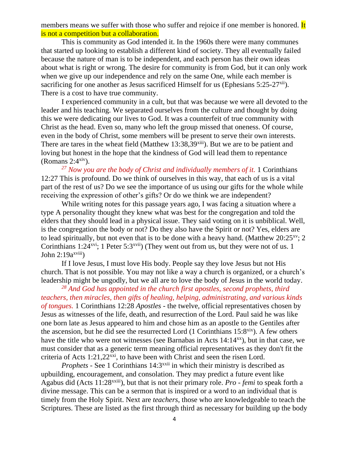members means we suffer with those who suffer and rejoice if one member is honored. It is not a competition but a collaboration.

This is community as God intended it. In the 1960s there were many communes that started up looking to establish a different kind of society. They all eventually failed because the nature of man is to be independent, and each person has their own ideas about what is right or wrong. The desire for community is from God, but it can only work when we give up our independence and rely on the same One, while each member is sacrificing for one another as Jesus sacrificed Himself for us (Ephesians 5:25-27<sup>xii</sup>). There is a cost to have true community.

I experienced community in a cult, but that was because we were all devoted to the leader and his teaching. We separated ourselves from the culture and thought by doing this we were dedicating our lives to God. It was a counterfeit of true community with Christ as the head. Even so, many who left the group missed that oneness. Of course, even in the body of Christ, some members will be present to serve their own interests. There are tares in the wheat field (Matthew  $13:38,39^{xiii}$ ). But we are to be patient and loving but honest in the hope that the kindness of God will lead them to repentance  $(Romans 2:4^{xiv})$ .

*<sup>27</sup> Now you are the body of Christ and individually members of it.* 1 Corinthians 12:27 This is profound. Do we think of ourselves in this way, that each of us is a vital part of the rest of us? Do we see the importance of us using our gifts for the whole while receiving the expression of other's gifts? Or do we think we are independent?

While writing notes for this passage years ago, I was facing a situation where a type A personality thought they knew what was best for the congregation and told the elders that they should lead in a physical issue. They said voting on it is unbiblical. Well, is the congregation the body or not? Do they also have the Spirit or not? Yes, elders are to lead spiritually, but not even that is to be done with a heavy hand. (Matthew  $20:25^{xy}$ ; 2 Corinthians 1:24<sup>xvi</sup>; 1 Peter 5:3<sup>xvii</sup>) (They went out from us, but they were not of us. 1 John  $2:19a^{xviii}$ 

If I love Jesus, I must love His body. People say they love Jesus but not His church. That is not possible. You may not like a way a church is organized, or a church's leadership might be ungodly, but we all are to love the body of Jesus in the world today.

*<sup>28</sup> And God has appointed in the church first apostles, second prophets, third teachers, then miracles, then gifts of healing, helping, administrating, and various kinds of tongues.* 1 Corinthians 12:28 *Apostles* - the twelve, official representatives chosen by Jesus as witnesses of the life, death, and resurrection of the Lord. Paul said he was like one born late as Jesus appeared to him and chose him as an apostle to the Gentiles after the ascension, but he did see the resurrected Lord  $(1$  Corinthians 15:8<sup>xix</sup>). A few others have the title who were not witnesses (see Barnabas in Acts  $14:14^{xx}$ ), but in that case, we must consider that as a generic term meaning official representatives as they don't fit the criteria of Acts  $1:21,22^{x}$ , to have been with Christ and seen the risen Lord.

*Prophets* - See 1 Corinthians 14:3<sup>xxii</sup> in which their ministry is described as upbuilding, encouragement, and consolation. They may predict a future event like Agabus did (Acts 11:28xxiii), but that is not their primary role. *Pro - femi* to speak forth a divine message. This can be a sermon that is inspired or a word to an individual that is timely from the Holy Spirit. Next are *teachers*, those who are knowledgeable to teach the Scriptures. These are listed as the first through third as necessary for building up the body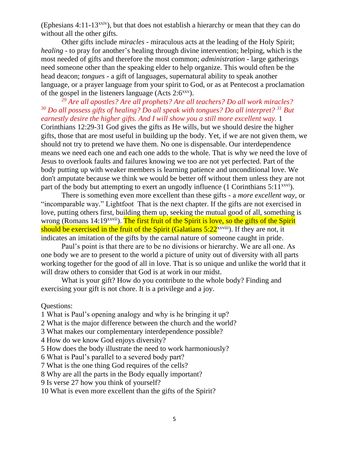(Ephesians  $4:11-13^{x\times i}$ ), but that does not establish a hierarchy or mean that they can do without all the other gifts.

Other gifts include *miracles* - miraculous acts at the leading of the Holy Spirit; *healing* - to pray for another's healing through divine intervention; helping, which is the most needed of gifts and therefore the most common; *administration* - large gatherings need someone other than the speaking elder to help organize. This would often be the head deacon; *tongues* - a gift of languages, supernatural ability to speak another language, or a prayer language from your spirit to God, or as at Pentecost a proclamation of the gospel in the listeners language (Acts  $2:6^{xxy}$ ).

*<sup>29</sup> Are all apostles? Are all prophets? Are all teachers? Do all work miracles? <sup>30</sup> Do all possess gifts of healing? Do all speak with tongues? Do all interpret? <sup>31</sup> But earnestly desire the higher gifts. And I will show you a still more excellent way.* 1

Corinthians 12:29-31 God gives the gifts as He wills, but we should desire the higher gifts, those that are most useful in building up the body. Yet, if we are not given them, we should not try to pretend we have them. No one is dispensable. Our interdependence means we need each one and each one adds to the whole. That is why we need the love of Jesus to overlook faults and failures knowing we too are not yet perfected. Part of the body putting up with weaker members is learning patience and unconditional love. We don't amputate because we think we would be better off without them unless they are not part of the body but attempting to exert an ungodly influence  $(1 \text{ Corinthians } 5:11^{xxvi})$ .

There is something even more excellent than these gifts - a *more excellent way,* or "incomparable way." Lightfoot That is the next chapter. If the gifts are not exercised in love, putting others first, building them up, seeking the mutual good of all, something is wrong (Romans  $14:19^{xxvii}$ ). The first fruit of the Spirit is love, so the gifts of the Spirit should be exercised in the fruit of the Spirit (Galatians  $5:22^{x}$ <sup>xxviii</sup>). If they are not, it indicates an imitation of the gifts by the carnal nature of someone caught in pride.

Paul's point is that there are to be no divisions or hierarchy. We are all one. As one body we are to present to the world a picture of unity out of diversity with all parts working together for the good of all in love. That is so unique and unlike the world that it will draw others to consider that God is at work in our midst.

What is your gift? How do you contribute to the whole body? Finding and exercising your gift is not chore. It is a privilege and a joy.

# Questions:

1 What is Paul's opening analogy and why is he bringing it up?

2 What is the major difference between the church and the world?

- 3 What makes our complementary interdependence possible?
- 4 How do we know God enjoys diversity?
- 5 How does the body illustrate the need to work harmoniously?
- 6 What is Paul's parallel to a severed body part?
- 7 What is the one thing God requires of the cells?
- 8 Why are all the parts in the Body equally important?
- 9 Is verse 27 how you think of yourself?

10 What is even more excellent than the gifts of the Spirit?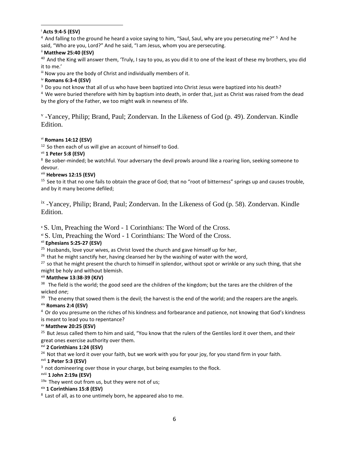<sup>4</sup> And falling to the ground he heard a voice saying to him, "Saul, Saul, why are you persecuting me?" <sup>5</sup> And he said, "Who are you, Lord?" And he said, "I am Jesus, whom you are persecuting.

<sup>40</sup> And the King will answer them, 'Truly, I say to you, as you did it to one of the least of these my brothers, you did it to me.'

 $\mathbf{u}$  Now you are the body of Christ and individually members of it.

iv **Romans 6:3-4 (ESV)** 

<sup>3</sup> Do you not know that all of us who have been baptized into Christ Jesus were baptized into his death?

<sup>4</sup> We were buried therefore with him by baptism into death, in order that, just as Christ was raised from the dead by the glory of the Father, we too might walk in newness of life.

<sup>v</sup> -Yancey, Philip; Brand, Paul; Zondervan. In the Likeness of God (p. 49). Zondervan. Kindle Edition.

# vi **Romans 14:12 (ESV)**

 $12$  So then each of us will give an account of himself to God.

vii **1 Peter 5:8 (ESV)** 

<sup>8</sup> Be sober-minded; be watchful. Your adversary the devil prowls around like a roaring lion, seeking someone to devour.

# viii **Hebrews 12:15 (ESV)**

<sup>15</sup> See to it that no one fails to obtain the grace of God; that no "root of bitterness" springs up and causes trouble, and by it many become defiled;

<sup>ix</sup> -Yancey, Philip; Brand, Paul; Zondervan. In the Likeness of God (p. 58). Zondervan. Kindle Edition.

<sup>x</sup> S. Um, Preaching the Word - 1 Corinthians: The Word of the Cross.

 $\frac{x}{s}$ . Um, Preaching the Word - 1 Corinthians: The Word of the Cross.

# xii **Ephesians 5:25-27 (ESV)**

 $25$  Husbands, love your wives, as Christ loved the church and gave himself up for her,

 $26$  that he might sanctify her, having cleansed her by the washing of water with the word,

 $27$  so that he might present the church to himself in splendor, without spot or wrinkle or any such thing, that she might be holy and without blemish.

## xiii **Matthew 13:38-39 (KJV)**

<sup>38</sup> The field is the world; the good seed are the children of the kingdom; but the tares are the children of the wicked *one*;

<sup>39</sup> The enemy that sowed them is the devil; the harvest is the end of the world; and the reapers are the angels. xiv **Romans 2:4 (ESV)** 

<sup>4</sup> Or do you presume on the riches of his kindness and forbearance and patience, not knowing that God's kindness is meant to lead you to repentance?

## xv **Matthew 20:25 (ESV)**

<sup>25</sup> But Jesus called them to him and said, "You know that the rulers of the Gentiles lord it over them, and their great ones exercise authority over them.

## xvi **2 Corinthians 1:24 (ESV)**

<sup>24</sup> Not that we lord it over your faith, but we work with you for your joy, for you stand firm in your faith.

## xvii **1 Peter 5:3 (ESV)**

 $3$  not domineering over those in your charge, but being examples to the flock.

#### xviii **1 John 2:19a (ESV)**

 $19a$  They went out from us, but they were not of us;

xix **1 Corinthians 15:8 (ESV)** 

<sup>8</sup> Last of all, as to one untimely born, he appeared also to me.

<sup>i</sup> **Acts 9:4-5 (ESV)** 

ii **Matthew 25:40 (ESV)**